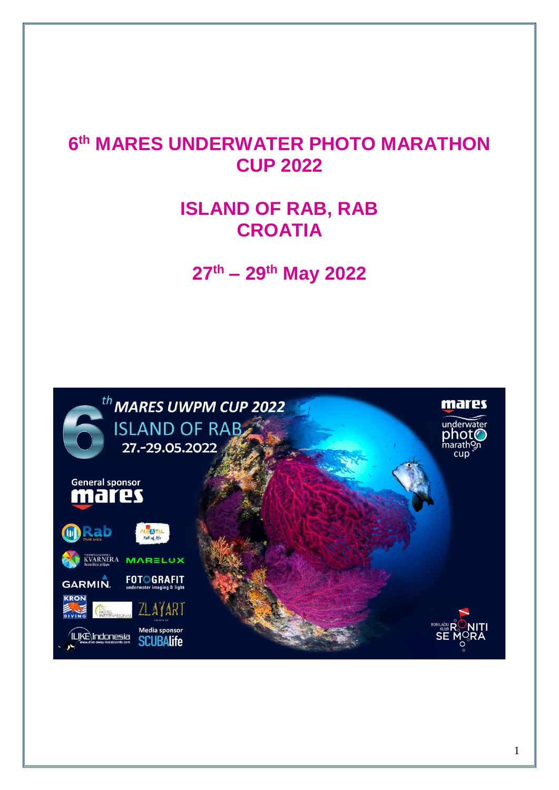# **6 th MARES UNDERWATER PHOTO MARATHON CUP 2022**

# **ISLAND OF RAB, RAB CROATIA**

**27th – 29th May 2022**

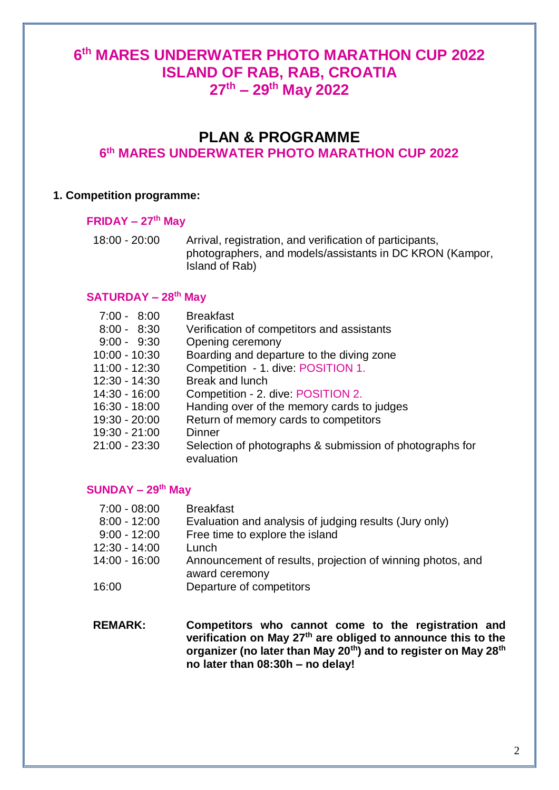# **6 th MARES UNDERWATER PHOTO MARATHON CUP 2022 ISLAND OF RAB, RAB, CROATIA 27th – 29th May 2022**

# **PLAN & PROGRAMME**

# **6 th MARES UNDERWATER PHOTO MARATHON CUP 2022**

#### **1. Competition programme:**

#### **FRIDAY – 27th May**

18:00 - 20:00 Arrival, registration, and verification of participants, photographers, and models/assistants in DC KRON (Kampor, Island of Rab)

#### **SATURDAY – 28th May**

| $7:00 - 8:00$ | <b>Breakfast</b>                                                       |
|---------------|------------------------------------------------------------------------|
| $8:00 - 8:30$ | Verification of competitors and assistants                             |
| $9:00 - 9:30$ | Opening ceremony                                                       |
| 10:00 - 10:30 | Boarding and departure to the diving zone                              |
| 11:00 - 12:30 | Competition - 1. dive: POSITION 1.                                     |
| 12:30 - 14:30 | <b>Break and lunch</b>                                                 |
| 14:30 - 16:00 | Competition - 2. dive: POSITION 2.                                     |
| 16:30 - 18:00 | Handing over of the memory cards to judges                             |
| 19:30 - 20:00 | Return of memory cards to competitors                                  |
| 19:30 - 21:00 | Dinner                                                                 |
| 21:00 - 23:30 | Selection of photographs & submission of photographs for<br>evaluation |
|               |                                                                        |

### **SUNDAY – 29th May**

| $7:00 - 08:00$ | <b>Breakfast</b>                                                             |
|----------------|------------------------------------------------------------------------------|
| $8:00 - 12:00$ | Evaluation and analysis of judging results (Jury only)                       |
| $9:00 - 12:00$ | Free time to explore the island                                              |
| 12:30 - 14:00  | Lunch                                                                        |
| 14:00 - 16:00  | Announcement of results, projection of winning photos, and<br>award ceremony |
| 16:00          | Departure of competitors                                                     |

**REMARK: Competitors who cannot come to the registration and verification on May 27th are obliged to announce this to the organizer (no later than May 20th) and to register on May 28th no later than 08:30h – no delay!**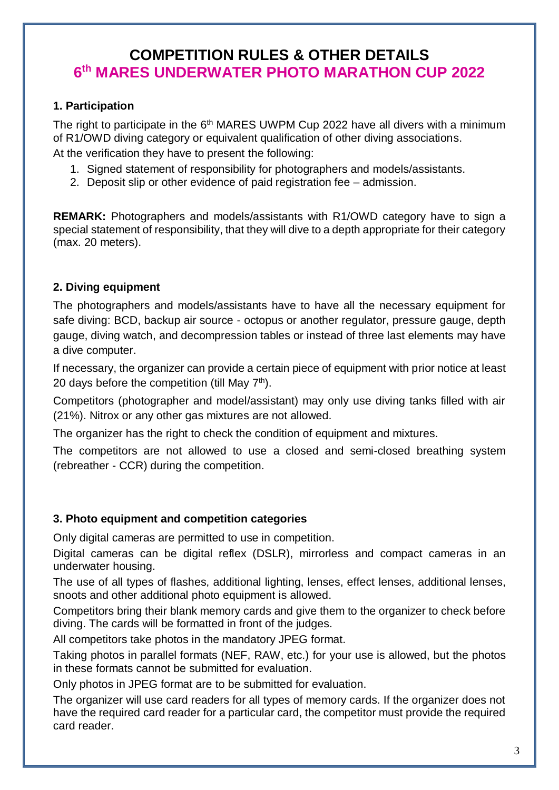# **COMPETITION RULES & OTHER DETAILS 6 th MARES UNDERWATER PHOTO MARATHON CUP 2022**

#### **1. Participation**

The right to participate in the 6<sup>th</sup> MARES UWPM Cup 2022 have all divers with a minimum of R1/OWD diving category or equivalent qualification of other diving associations.

At the verification they have to present the following:

- 1. Signed statement of responsibility for photographers and models/assistants.
- 2. Deposit slip or other evidence of paid registration fee admission.

**REMARK:** Photographers and models/assistants with R1/OWD category have to sign a special statement of responsibility, that they will dive to a depth appropriate for their category (max. 20 meters).

### **2. Diving equipment**

The photographers and models/assistants have to have all the necessary equipment for safe diving: BCD, backup air source - octopus or another regulator, pressure gauge, depth gauge, diving watch, and decompression tables or instead of three last elements may have a dive computer.

If necessary, the organizer can provide a certain piece of equipment with prior notice at least 20 days before the competition (till Mav  $7<sup>th</sup>$ ).

Competitors (photographer and model/assistant) may only use diving tanks filled with air (21%). Nitrox or any other gas mixtures are not allowed.

The organizer has the right to check the condition of equipment and mixtures.

The competitors are not allowed to use a closed and semi-closed breathing system (rebreather - CCR) during the competition.

#### **3. Photo equipment and competition categories**

Only digital cameras are permitted to use in competition.

Digital cameras can be digital reflex (DSLR), mirrorless and compact cameras in an underwater housing.

The use of all types of flashes, additional lighting, lenses, effect lenses, additional lenses, snoots and other additional photo equipment is allowed.

Competitors bring their blank memory cards and give them to the organizer to check before diving. The cards will be formatted in front of the judges.

All competitors take photos in the mandatory JPEG format.

Taking photos in parallel formats (NEF, RAW, etc.) for your use is allowed, but the photos in these formats cannot be submitted for evaluation.

Only photos in JPEG format are to be submitted for evaluation.

The organizer will use card readers for all types of memory cards. If the organizer does not have the required card reader for a particular card, the competitor must provide the required card reader.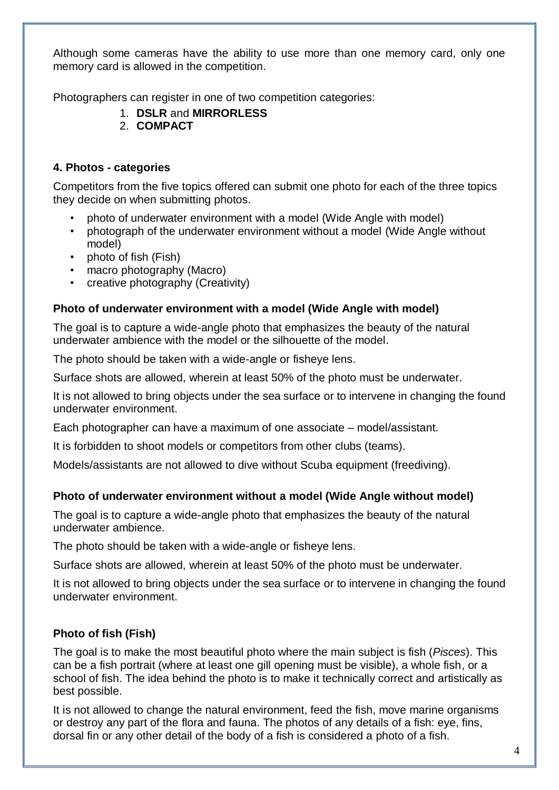Although some cameras have the ability to use more than one memory card, only one memory card is allowed in the competition.

Photographers can register in one of two competition categories:

- 1. **DSLR** and **MIRRORLESS**
- 2. **COMPACT**

#### **4. Photos - categories**

Competitors from the five topics offered can submit one photo for each of the three topics they decide on when submitting photos.

- photo of underwater environment with a model (Wide Angle with model)
- photograph of the underwater environment without a model (Wide Angle without model)
- photo of fish (Fish)
- macro photography (Macro)
- creative photography (Creativity)

#### **Photo of underwater environment with a model (Wide Angle with model)**

The goal is to capture a wide-angle photo that emphasizes the beauty of the natural underwater ambience with the model or the silhouette of the model.

The photo should be taken with a wide-angle or fisheye lens.

Surface shots are allowed, wherein at least 50% of the photo must be underwater.

It is not allowed to bring objects under the sea surface or to intervene in changing the found underwater environment.

Each photographer can have a maximum of one associate – model/assistant.

It is forbidden to shoot models or competitors from other clubs (teams).

Models/assistants are not allowed to dive without Scuba equipment (freediving).

#### **Photo of underwater environment without a model (Wide Angle without model)**

The goal is to capture a wide-angle photo that emphasizes the beauty of the natural underwater ambience.

The photo should be taken with a wide-angle or fisheye lens.

Surface shots are allowed, wherein at least 50% of the photo must be underwater.

It is not allowed to bring objects under the sea surface or to intervene in changing the found underwater environment.

#### **Photo of fish (Fish)**

The goal is to make the most beautiful photo where the main subject is fish (*Pisces*). This can be a fish portrait (where at least one gill opening must be visible), a whole fish, or a school of fish. The idea behind the photo is to make it technically correct and artistically as best possible.

It is not allowed to change the natural environment, feed the fish, move marine organisms or destroy any part of the flora and fauna. The photos of any details of a fish: eye, fins, dorsal fin or any other detail of the body of a fish is considered a photo of a fish.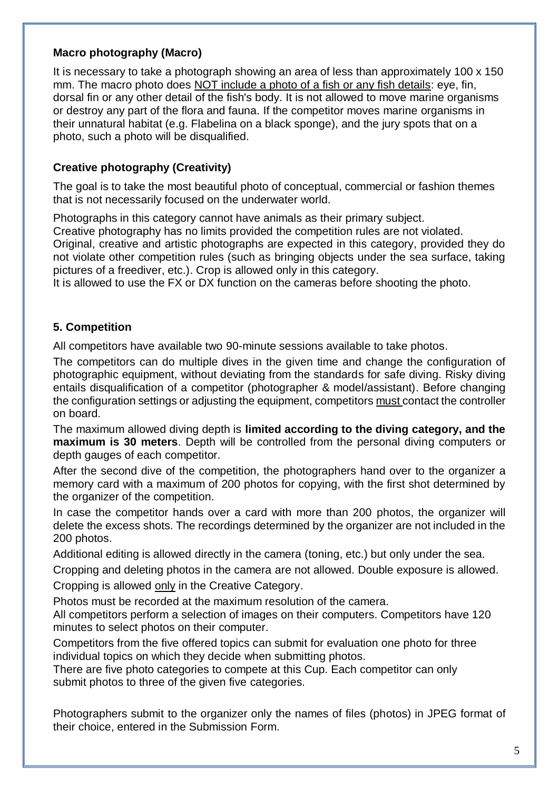#### **Macro photography (Macro)**

It is necessary to take a photograph showing an area of less than approximately 100 x 150 mm. The macro photo does NOT include a photo of a fish or any fish details: eye, fin, dorsal fin or any other detail of the fish's body. It is not allowed to move marine organisms or destroy any part of the flora and fauna. If the competitor moves marine organisms in their unnatural habitat (e.g. Flabelina on a black sponge), and the jury spots that on a photo, such a photo will be disqualified.

#### **Creative photography (Creativity)**

The goal is to take the most beautiful photo of conceptual, commercial or fashion themes that is not necessarily focused on the underwater world.

Photographs in this category cannot have animals as their primary subject.

Creative photography has no limits provided the competition rules are not violated.

Original, creative and artistic photographs are expected in this category, provided they do not violate other competition rules (such as bringing objects under the sea surface, taking pictures of a freediver, etc.). Crop is allowed only in this category.

It is allowed to use the FX or DX function on the cameras before shooting the photo.

#### **5. Competition**

All competitors have available two 90-minute sessions available to take photos.

The competitors can do multiple dives in the given time and change the configuration of photographic equipment, without deviating from the standards for safe diving. Risky diving entails disqualification of a competitor (photographer & model/assistant). Before changing the configuration settings or adjusting the equipment, competitors must contact the controller on board.

The maximum allowed diving depth is **limited according to the diving category, and the maximum is 30 meters**. Depth will be controlled from the personal diving computers or depth gauges of each competitor.

After the second dive of the competition, the photographers hand over to the organizer a memory card with a maximum of 200 photos for copying, with the first shot determined by the organizer of the competition.

In case the competitor hands over a card with more than 200 photos, the organizer will delete the excess shots. The recordings determined by the organizer are not included in the 200 photos.

Additional editing is allowed directly in the camera (toning, etc.) but only under the sea.

Cropping and deleting photos in the camera are not allowed. Double exposure is allowed.

Cropping is allowed only in the Creative Category.

Photos must be recorded at the maximum resolution of the camera.

All competitors perform a selection of images on their computers. Competitors have 120 minutes to select photos on their computer.

Competitors from the five offered topics can submit for evaluation one photo for three individual topics on which they decide when submitting photos.

There are five photo categories to compete at this Cup. Each competitor can only submit photos to three of the given five categories.

Photographers submit to the organizer only the names of files (photos) in JPEG format of their choice, entered in the Submission Form.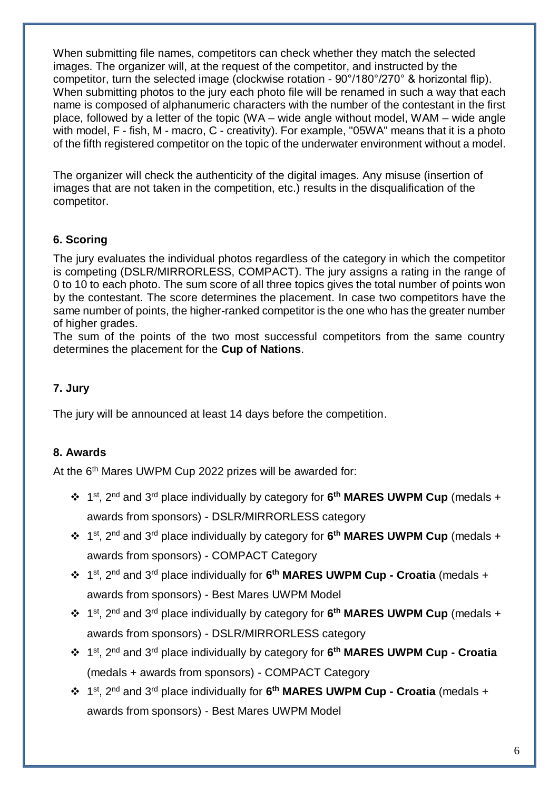When submitting file names, competitors can check whether they match the selected images. The organizer will, at the request of the competitor, and instructed by the competitor, turn the selected image (clockwise rotation - 90°/180°/270° & horizontal flip). When submitting photos to the jury each photo file will be renamed in such a way that each name is composed of alphanumeric characters with the number of the contestant in the first place, followed by a letter of the topic (WA – wide angle without model, WAM – wide angle with model, F - fish, M - macro, C - creativity). For example, "05WA" means that it is a photo of the fifth registered competitor on the topic of the underwater environment without a model.

The organizer will check the authenticity of the digital images. Any misuse (insertion of images that are not taken in the competition, etc.) results in the disqualification of the competitor.

# **6. Scoring**

The jury evaluates the individual photos regardless of the category in which the competitor is competing (DSLR/MIRRORLESS, COMPACT). The jury assigns a rating in the range of 0 to 10 to each photo. The sum score of all three topics gives the total number of points won by the contestant. The score determines the placement. In case two competitors have the same number of points, the higher-ranked competitor is the one who has the greater number of higher grades.

The sum of the points of the two most successful competitors from the same country determines the placement for the **Cup of Nations**.

#### **7. Jury**

The jury will be announced at least 14 days before the competition.

#### **8. Awards**

At the 6<sup>th</sup> Mares UWPM Cup 2022 prizes will be awarded for:

- 1 st, 2nd and 3rd place individually by category for **6 th MARES UWPM Cup** (medals + awards from sponsors) - DSLR/MIRRORLESS category
- 1 st, 2nd and 3rd place individually by category for **6 th MARES UWPM Cup** (medals + awards from sponsors) - COMPACT Category
- 1 st, 2nd and 3rd place individually for **6 th MARES UWPM Cup - Croatia** (medals + awards from sponsors) - Best Mares UWPM Model
- 1 st, 2nd and 3rd place individually by category for **6 th MARES UWPM Cup** (medals + awards from sponsors) - DSLR/MIRRORLESS category
- 1 st, 2nd and 3rd place individually by category for **6 th MARES UWPM Cup - Croatia** (medals + awards from sponsors) - COMPACT Category
- 1 st, 2nd and 3rd place individually for **6 th MARES UWPM Cup - Croatia** (medals + awards from sponsors) - Best Mares UWPM Model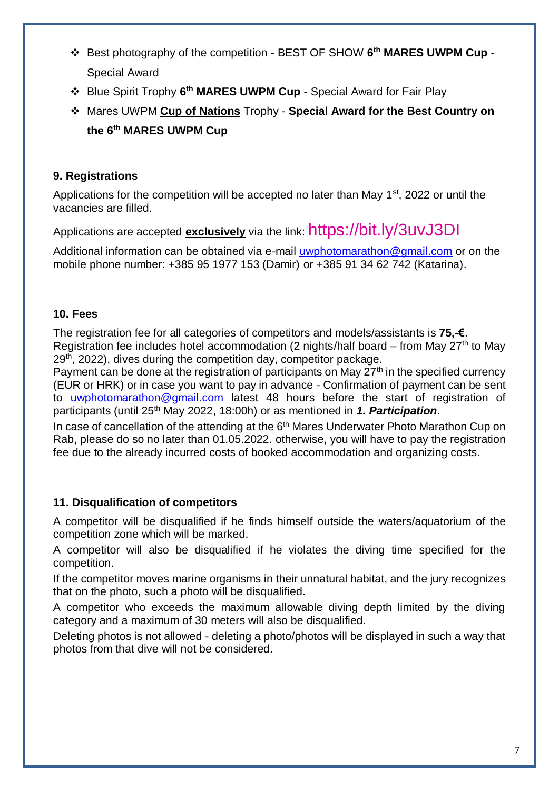- Best photography of the competition BEST OF SHOW **6 th MARES UWPM Cup** Special Award
- Blue Spirit Trophy **6 th MARES UWPM Cup** Special Award for Fair Play
- Mares UWPM **Cup of Nations** Trophy **Special Award for the Best Country on the 6 th MARES UWPM Cup**

#### **9. Registrations**

Applications for the competition will be accepted no later than May  $1<sup>st</sup>$ , 2022 or until the vacancies are filled.

Applications are accepted **exclusively** via the link: https://bit.ly/3uvJ3DI

Additional information can be obtained via e-mail [uwphotomarathon@gmail.com](mailto:uwphotomarathon@gmail.com) or on the mobile phone number: +385 95 1977 153 (Damir) or +385 91 34 62 742 (Katarina).

### **10. Fees**

The registration fee for all categories of competitors and models/assistants is **75,-€**. Registration fee includes hotel accommodation (2 nights/half board – from May  $27<sup>th</sup>$  to May 29<sup>th</sup>, 2022), dives during the competition day, competitor package.

Payment can be done at the registration of participants on May  $27<sup>th</sup>$  in the specified currency (EUR or HRK) or in case you want to pay in advance - Confirmation of payment can be sent to [uwphotomarathon@gmail.com](mailto:uwphotomarathon@gmail.com) latest 48 hours before the start of registration of participants (until 25<sup>th</sup> May 2022, 18:00h) or as mentioned in 1. Participation.

In case of cancellation of the attending at the 6<sup>th</sup> Mares Underwater Photo Marathon Cup on Rab, please do so no later than 01.05.2022. otherwise, you will have to pay the registration fee due to the already incurred costs of booked accommodation and organizing costs.

#### **11. Disqualification of competitors**

A competitor will be disqualified if he finds himself outside the waters/aquatorium of the competition zone which will be marked.

A competitor will also be disqualified if he violates the diving time specified for the competition.

If the competitor moves marine organisms in their unnatural habitat, and the jury recognizes that on the photo, such a photo will be disqualified.

A competitor who exceeds the maximum allowable diving depth limited by the diving category and a maximum of 30 meters will also be disqualified.

Deleting photos is not allowed - deleting a photo/photos will be displayed in such a way that photos from that dive will not be considered.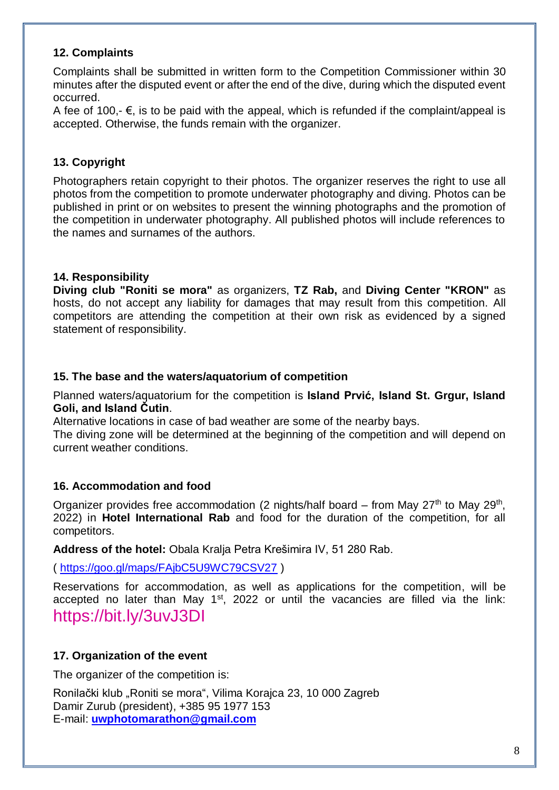#### **12. Complaints**

Complaints shall be submitted in written form to the Competition Commissioner within 30 minutes after the disputed event or after the end of the dive, during which the disputed event occurred.

A fee of 100,-  $\epsilon$ , is to be paid with the appeal, which is refunded if the complaint/appeal is accepted. Otherwise, the funds remain with the organizer.

# **13. Copyright**

Photographers retain copyright to their photos. The organizer reserves the right to use all photos from the competition to promote underwater photography and diving. Photos can be published in print or on websites to present the winning photographs and the promotion of the competition in underwater photography. All published photos will include references to the names and surnames of the authors.

### **14. Responsibility**

**Diving club "Roniti se mora"** as organizers, **TZ Rab,** and **Diving Center "KRON"** as hosts, do not accept any liability for damages that may result from this competition. All competitors are attending the competition at their own risk as evidenced by a signed statement of responsibility.

#### **15. The base and the waters/aquatorium of competition**

Planned waters/aquatorium for the competition is **Island Prvić, Island St. Grgur, Island Goli, and Island Čutin**.

Alternative locations in case of bad weather are some of the nearby bays.

The diving zone will be determined at the beginning of the competition and will depend on current weather conditions.

#### **16. Accommodation and food**

Organizer provides free accommodation (2 nights/half board  $-$  from May 27<sup>th</sup> to May 29<sup>th</sup>, 2022) in **Hotel International Rab** and food for the duration of the competition, for all competitors.

**Address of the hotel:** Obala Kralja Petra Krešimira IV, 51 280 Rab.

(<https://goo.gl/maps/FAjbC5U9WC79CSV27> )

Reservations for accommodation, as well as applications for the competition, will be accepted no later than May  $1<sup>st</sup>$ , 2022 or until the vacancies are filled via the link: <https://bit.ly/3uvJ3DI>

#### **17. Organization of the event**

The organizer of the competition is:

Ronilački klub "Roniti se mora", Vilima Korajca 23, 10 000 Zagreb Damir Zurub (president), +385 95 1977 153 E-mail: **[uwphotomarathon@gmail.com](mailto:uwphotomarathon@gmail.com)**